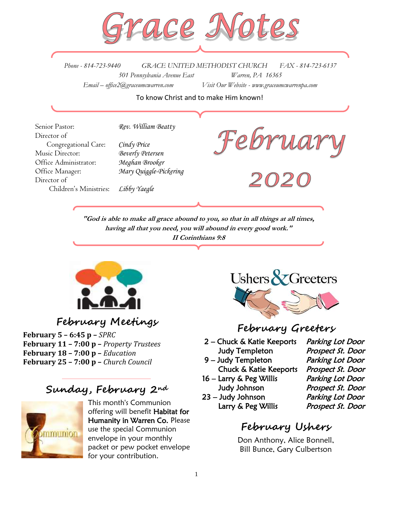

*Phone - 814-723-9440 GRACE UNITED METHODIST CHURCH FAX - 814-723-6137 501 Pennsylvania Avenue East Warren, PA 16365 Email – office2@graceumcwarren.com Visit Our Website - www.graceumcwarrenpa.com* 

To know Christ and to make Him known!

Senior Pastor: *Rev. William Beatty* Director of Congregational Care: *Cindy Price* Music Director: *Beverly Petersen* Office Administrator: *Meghan Brooker* Office Manager: *Mary Quiggle-Pickering* Director of Children's Ministries: *Libby Yaegle*



**"God is able to make all grace abound to you, so that in all things at all times, having all that you need, you will abound in every good work." II Corinthians 9:8**



**February Meetings**

**February 5 – 6:45 p –** *SPRC* **February 11 – 7:00 p –** *Property Trustees* **February 18 – 7:00 p –** *Education* **February 25 – 7:00 p –** *Church Council*

# **Sunday, February 2nd**



This month's Communion offering will benefit Habitat for Humanity in Warren Co. Please use the special Communion envelope in your monthly packet or pew pocket envelope for your contribution.



# **February Greeters**

- 2 Chuck & Katie Keeports Parking Lot Door Judy Templeton Prospect St. Door
- 9 Judy Templeton Parking Lot Door
- 16 Larry & Peg Willis Parking Lot Door
- 23 Judy Johnson Parking Lot Door

Chuck & Katie Keeports Prospect St. Door Judy Johnson Prospect St. Door Larry & Peg Willis Prospect St. Door

# **February Ushers**

Don Anthony, Alice Bonnell, Bill Bunce, Gary Culbertson

1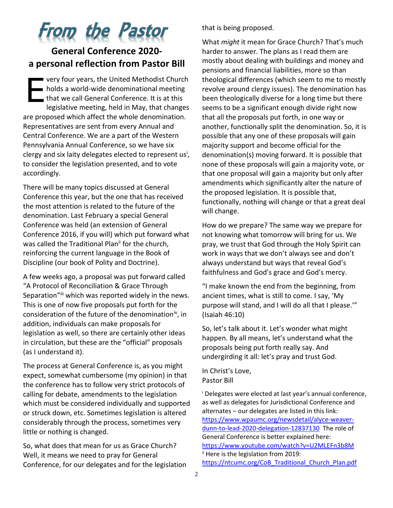# **From the Pastor**

## **General Conference 2020 a personal reflection from Pastor Bill**

very four years, the United Methodist Church **holds a world-wide denominational meeting** that we call General Conference. It is at this legislative meeting, held in May, that changes are proposed which affect the whole denomination. Representatives are sent from every Annual and Central Conference. We are a part of the Western Pennsylvania Annual Conference, so we have six clergy and six laity delegates elected to represent us<sup>i</sup>, to consider the legislation presented, and to vote accordingly. E

There will be many topics discussed at General Conference this year, but the one that has received the most attention is related to the future of the denomination. Last February a special General Conference was held (an extension of General Conference 2016, if you will) which put forward what was called the Traditional Plan<sup>ii</sup> for the church, reinforcing the current language in the Book of Discipline (our book of Polity and Doctrine).

A few weeks ago, a proposal was put forward called "A Protocol of Reconciliation & Grace Through Separation"iii which was reported widely in the news. This is one of now five proposals put forth for the consideration of the future of the denomination<sup>iv</sup>, in addition, individuals can make proposals for legislation as well, so there are certainly other ideas in circulation, but these are the "official" proposals (as I understand it).

The process at General Conference is, as you might expect, somewhat cumbersome (my opinion) in that the conference has to follow very strict protocols of calling for debate, amendments to the legislation which must be considered individually and supported or struck down, etc. Sometimes legislation is altered considerably through the process, sometimes very little or nothing is changed.

So, what does that mean for us as Grace Church? Well, it means we need to pray for General Conference, for our delegates and for the legislation that is being proposed.

What *might* it mean for Grace Church? That's much harder to answer. The plans as I read them are mostly about dealing with buildings and money and pensions and financial liabilities, more so than theological differences (which seem to me to mostly revolve around clergy issues). The denomination has been theologically diverse for a long time but there seems to be a significant enough divide right now that all the proposals put forth, in one way or another, functionally split the denomination. So, it is possible that any one of these proposals will gain majority support and become official for the denomination(s) moving forward. It is possible that none of these proposals will gain a majority vote, or that one proposal will gain a majority but only after amendments which significantly alter the nature of the proposed legislation. It is possible that, functionally, nothing will change or that a great deal will change.

How do we prepare? The same way we prepare for not knowing what tomorrow will bring for us. We pray, we trust that God through the Holy Spirit can work in ways that we don't always see and don't always understand but ways that reveal God's faithfulness and God's grace and God's mercy.

"I make known the end from the beginning, from ancient times, what is still to come. I say, 'My purpose will stand, and I will do all that I please.'" (Isaiah 46:10)

So, let's talk about it. Let's wonder what might happen. By all means, let's understand what the proposals being put forth really say. And undergirding it all: let's pray and trust God.

In Christ's Love, Pastor Bill

<sup>i</sup> Delegates were elected at last year's annual conference, as well as delegates for Jurisdictional Conference and alternates – our delegates are listed in this link: [https://www.wpaumc.org/newsdetail/alyce-weaver](https://www.wpaumc.org/newsdetail/alyce-weaver-dunn-to-lead-2020-delegation-12837130)[dunn-to-lead-2020-delegation-12837130](https://www.wpaumc.org/newsdetail/alyce-weaver-dunn-to-lead-2020-delegation-12837130) The role of General Conference is better explained here: <https://www.youtube.com/watch?v=U2MLEFn3b8M> ii Here is the legislation from 2019: [https://ntcumc.org/CoB\\_Traditional\\_Church\\_Plan.pdf](https://ntcumc.org/CoB_Traditional_Church_Plan.pdf)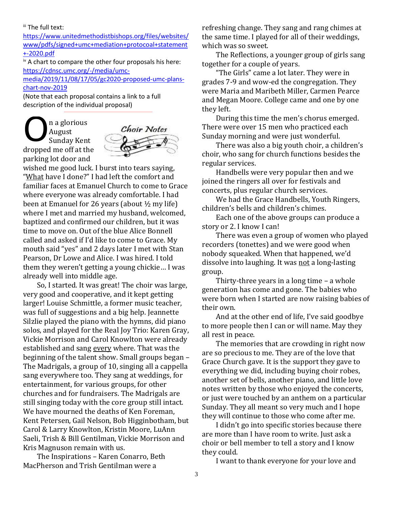#### **iii** The full text:

[https://www.unitedmethodistbishops.org/files/websites/](https://www.unitedmethodistbishops.org/files/websites/www/pdfs/signed+umc+mediation+protocoal+statement+-2020.pdf) [www/pdfs/signed+umc+mediation+protocoal+statement](https://www.unitedmethodistbishops.org/files/websites/www/pdfs/signed+umc+mediation+protocoal+statement+-2020.pdf) [+-2020.pdf](https://www.unitedmethodistbishops.org/files/websites/www/pdfs/signed+umc+mediation+protocoal+statement+-2020.pdf)

 $\mu$ <sup>iv</sup> A chart to compare the other four proposals his here: [https://cdnsc.umc.org/-/media/umc-](https://cdnsc.umc.org/-/media/umc-media/2019/11/08/17/05/gc2020-proposed-umc-plans-chart-nov-2019)

[media/2019/11/08/17/05/gc2020-proposed-umc-plans](https://cdnsc.umc.org/-/media/umc-media/2019/11/08/17/05/gc2020-proposed-umc-plans-chart-nov-2019)[chart-nov-2019](https://cdnsc.umc.org/-/media/umc-media/2019/11/08/17/05/gc2020-proposed-umc-plans-chart-nov-2019)

(Note that each proposal contains a link to a full description of the individual proposal)

n a glorious August Sunday Kent dropped me off at the parking lot door and O



wished me good luck. I burst into tears saying, "What have I done?" I had left the comfort and familiar faces at Emanuel Church to come to Grace where everyone was already comfortable. I had been at Emanuel for 26 years (about ½ my life) where I met and married my husband, welcomed, baptized and confirmed our children, but it was time to move on. Out of the blue Alice Bonnell called and asked if I'd like to come to Grace. My mouth said "yes" and 2 days later I met with Stan Pearson, Dr Lowe and Alice. I was hired. I told them they weren't getting a young chickie… I was already well into middle age.

So, I started. It was great! The choir was large, very good and cooperative, and it kept getting larger! Louise Schmittle, a former music teacher, was full of suggestions and a big help. Jeannette Silzlie played the piano with the hymns, did piano solos, and played for the Real Joy Trio: Karen Gray, Vickie Morrison and Carol Knowlton were already established and sang every where. That was the beginning of the talent show. Small groups began – The Madrigals, a group of 10, singing all a cappella sang everywhere too. They sang at weddings, for entertainment, for various groups, for other churches and for fundraisers. The Madrigals are still singing today with the core group still intact. We have mourned the deaths of Ken Foreman, Kent Petersen, Gail Nelson, Bob Higginbotham, but Carol & Larry Knowlton, Kristin Moore, LuAnn Saeli, Trish & Bill Gentilman, Vickie Morrison and Kris Magnuson remain with us.

The Inspirations – Karen Conarro, Beth MacPherson and Trish Gentilman were a

refreshing change. They sang and rang chimes at the same time. I played for all of their weddings, which was so sweet.

The Reflections, a younger group of girls sang together for a couple of years.

"The Girls" came a lot later. They were in grades 7-9 and wow-ed the congregation. They were Maria and Maribeth Miller, Carmen Pearce and Megan Moore. College came and one by one they left.

During this time the men's chorus emerged. There were over 15 men who practiced each Sunday morning and were just wonderful.

There was also a big youth choir, a children's choir, who sang for church functions besides the regular services.

Handbells were very popular then and we joined the ringers all over for festivals and concerts, plus regular church services.

We had the Grace Handbells, Youth Ringers, children's bells and children's chimes.

Each one of the above groups can produce a story or 2. I know I can!

There was even a group of women who played recorders (tonettes) and we were good when nobody squeaked. When that happened, we'd dissolve into laughing. It was not a long-lasting group.

Thirty-three years in a long time – a whole generation has come and gone. The babies who were born when I started are now raising babies of their own.

And at the other end of life, I've said goodbye to more people then I can or will name. May they all rest in peace.

The memories that are crowding in right now are so precious to me. They are of the love that Grace Church gave. It is the support they gave to everything we did, including buying choir robes, another set of bells, another piano, and little love notes written by those who enjoyed the concerts, or just were touched by an anthem on a particular Sunday. They all meant so very much and I hope they will continue to those who come after me.

I didn't go into specific stories because there are more than I have room to write. Just ask a choir or bell member to tell a story and I know they could.

I want to thank everyone for your love and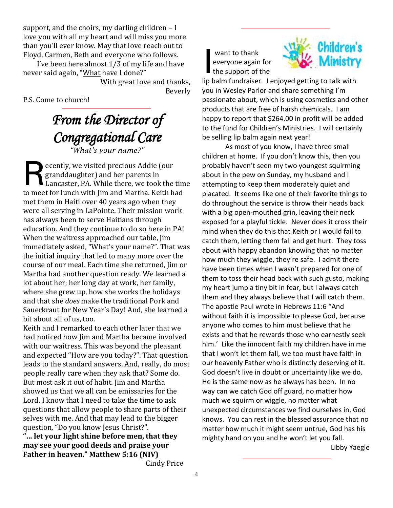support, and the choirs, my darling children – I love you with all my heart and will miss you more than you'll ever know. May that love reach out to Floyd, Carmen, Beth and everyone who follows.

I've been here almost 1/3 of my life and have never said again, "What have I done?"

With great love and thanks, Beverly

P.S. Come to church!

*From the Director of Congregational Care "What's your name?"*

ecently, we visited precious Addie (our granddaughter) and her parents in Lancaster, PA. While there, we took the time to meet for lunch with Jim and Martha. Keith had met them in Haiti over 40 years ago when they were all serving in LaPointe. Their mission work has always been to serve Haitians through education. And they continue to do so here in PA! When the waitress approached our table, Jim immediately asked, "What's your name?". That was the initial inquiry that led to many more over the course of our meal. Each time she returned, Jim or Martha had another question ready. We learned a lot about her; her long day at work, her family, where she grew up, how she works the holidays and that she *does* make the traditional Pork and Sauerkraut for New Year's Day! And, she learned a bit about all of us, too. R

Keith and I remarked to each other later that we had noticed how Jim and Martha became involved with our waitress. This was beyond the pleasant and expected "How are you today?". That question leads to the standard answers. And, really, do most people really care when they ask that? Some do. But most ask it out of habit. Jim and Martha showed us that we all can be emissaries for the Lord. I know that I need to take the time to ask questions that allow people to share parts of their selves with me. And that may lead to the bigger question, "Do you know Jesus Christ?".

**"… let your light shine before men, that they may see your good deeds and praise your Father in heaven." Matthew 5:16 (NIV)**

Cindy Price

want to thank everyone again for the support of the I



lip balm fundraiser. I enjoyed getting to talk with you in Wesley Parlor and share something I'm passionate about, which is using cosmetics and other products that are free of harsh chemicals. I am happy to report that \$264.00 in profit will be added to the fund for Children's Ministries. I will certainly be selling lip balm again next year!

As most of you know, I have three small children at home. If you don't know this, then you probably haven't seen my two youngest squirming about in the pew on Sunday, my husband and I attempting to keep them moderately quiet and placated. It seems like one of their favorite things to do throughout the service is throw their heads back with a big open-mouthed grin, leaving their neck exposed for a playful tickle. Never does it cross their mind when they do this that Keith or I would fail to catch them, letting them fall and get hurt. They toss about with happy abandon knowing that no matter how much they wiggle, they're safe. I admit there have been times when I wasn't prepared for one of them to toss their head back with such gusto, making my heart jump a tiny bit in fear, but I always catch them and they always believe that I will catch them. The apostle Paul wrote in Hebrews 11:6 "And without faith it is impossible to please God, because anyone who comes to him must believe that he exists and that he rewards those who earnestly seek him.' Like the innocent faith my children have in me that I won't let them fall, we too must have faith in our heavenly Father who is distinctly deserving of it. God doesn't live in doubt or uncertainty like we do. He is the same now as he always has been. In no way can we catch God off guard, no matter how much we squirm or wiggle, no matter what unexpected circumstances we find ourselves in, God knows. You can rest in the blessed assurance that no matter how much it might seem untrue, God has his mighty hand on you and he won't let you fall.

Libby Yaegle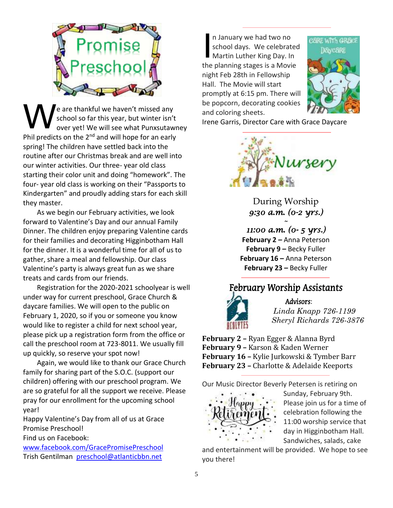

e are thankful we haven't missed any school so far this year, but winter isn't over yet! We will see what Punxsutawney Phil predicts on the  $2^{nd}$  and will hope for an early spring! The children have settled back into the routine after our Christmas break and are well into our winter activities. Our three- year old class starting their color unit and doing "homework". The four- year old class is working on their "Passports to Kindergarten" and proudly adding stars for each skill they master. W

As we begin our February activities, we look forward to Valentine's Day and our annual Family Dinner. The children enjoy preparing Valentine cards for their families and decorating Higginbotham Hall for the dinner. It is a wonderful time for all of us to gather, share a meal and fellowship. Our class Valentine's party is always great fun as we share treats and cards from our friends.

Registration for the 2020-2021 schoolyear is well under way for current preschool, Grace Church & daycare families. We will open to the public on February 1, 2020, so if you or someone you know would like to register a child for next school year, please pick up a registration form from the office or call the preschool room at 723-8011. We usually fill up quickly, so reserve your spot now!

Again, we would like to thank our Grace Church family for sharing part of the S.O.C. (support our children) offering with our preschool program. We are so grateful for all the support we receive. Please pray for our enrollment for the upcoming school year!

Happy Valentine's Day from all of us at Grace Promise Preschool!

Find us on Facebook:

[www.facebook.com/GracePromisePreschool](http://www.facebook.com/GracePromisePreschool) Trish Gentilman [preschool@atlanticbbn.net](mailto:preschool@atlanticbbn.net)

n January we had two no school days. We celebrated n January we had two no<br>school days. We celebrate<br>Martin Luther King Day. In the planning stages is a Movie night Feb 28th in Fellowship Hall. The Movie will start promptly at 6:15 pm. There will be popcorn, decorating cookies and coloring sheets.



Irene Garris, Director Care with Grace Daycare



During Worship *9:30 a.m. (0-2 yrs.)* 

*~* 

*11:00 a.m. (0- 5 yrs.)*  **February 2** *–* Anna Peterson **February 9 –** Becky Fuller **February 16 –** Anna Peterson **February 23 –** Becky Fuller

# February Worship Assistants



Advisors: *Linda Knapp 726-1199 Sheryl Richards 726-3876*

**February 2 –** Ryan Egger & Alanna Byrd **February 9 –** Karson & Kaden Werner **February 16 –** Kylie Jurkowski & Tymber Barr **February 23 –** Charlotte & Adelaide Keeports

Our Music Director Beverly Petersen is retiring on



Sunday, February 9th. Please join us for a time of celebration following the 11:00 worship service that day in Higginbotham Hall. Sandwiches, salads, cake

and entertainment will be provided. We hope to see you there!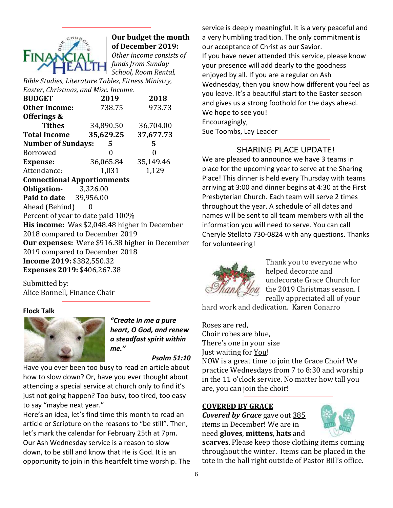

### **Our budget the month of December 2019:**

*Other income consists of funds from Sunday School, Room Rental,* 

*Bible Studies, Literature Tables, Fitness Ministry, Easter, Christmas, and Misc. Income.*

| <b>BUDGET</b>                                  | 2019             | 2018      |  |  |  |  |  |
|------------------------------------------------|------------------|-----------|--|--|--|--|--|
| <b>Other Income:</b>                           | 738.75           | 973.73    |  |  |  |  |  |
| Offerings &                                    |                  |           |  |  |  |  |  |
| Tithes                                         | <u>34,890.50</u> | 36,704.00 |  |  |  |  |  |
| <b>Total Income</b>                            | 35,629.25        | 37,677.73 |  |  |  |  |  |
| <b>Number of Sundays:</b>                      | 5                | 5         |  |  |  |  |  |
| Borrowed                                       | 0                | 0         |  |  |  |  |  |
| <b>Expense:</b>                                | 36,065.84        | 35,149.46 |  |  |  |  |  |
| Attendance:                                    | 1,031            | 1,129     |  |  |  |  |  |
| <b>Connectional Apportionments</b>             |                  |           |  |  |  |  |  |
| <b>Obligation-</b> 3,326.00                    |                  |           |  |  |  |  |  |
| Paid to date 39,956.00                         |                  |           |  |  |  |  |  |
| Ahead (Behind)<br>0                            |                  |           |  |  |  |  |  |
| Percent of year to date paid 100%              |                  |           |  |  |  |  |  |
| His income: Was \$2,048.48 higher in December  |                  |           |  |  |  |  |  |
| 2018 compared to December 2019                 |                  |           |  |  |  |  |  |
| Our expenses: Were \$916.38 higher in December |                  |           |  |  |  |  |  |
| 2019 compared to December 2018                 |                  |           |  |  |  |  |  |
| Income 2019: \$382,550.32                      |                  |           |  |  |  |  |  |
| Expenses 2019: \$406,267.38                    |                  |           |  |  |  |  |  |
|                                                |                  |           |  |  |  |  |  |

Submitted by: Alice Bonnell, Finance Chair

#### **Flock Talk**



*"Create in me a pure heart, O God, and renew a steadfast spirit within me."*

#### *Psalm 51:10*

Have you ever been too busy to read an article about how to slow down? Or, have you ever thought about attending a special service at church only to find it's just not going happen? Too busy, too tired, too easy to say "maybe next year."

Here's an idea, let's find time this month to read an article or Scripture on the reasons to "be still". Then, let's mark the calendar for February 25th at 7pm. Our Ash Wednesday service is a reason to slow down, to be still and know that He is God. It is an opportunity to join in this heartfelt time worship. The service is deeply meaningful. It is a very peaceful and a very humbling tradition. The only commitment is our acceptance of Christ as our Savior. If you have never attended this service, please know your presence will add dearly to the goodness enjoyed by all. If you are a regular on Ash Wednesday, then you know how different you feel as you leave. It's a beautiful start to the Easter season and gives us a strong foothold for the days ahead. We hope to see you! Encouragingly, Sue Toombs, Lay Leader

#### SHARING PLACE UPDATE!

We are pleased to announce we have 3 teams in place for the upcoming year to serve at the Sharing Place! This dinner is held every Thursday with teams arriving at 3:00 and dinner begins at 4:30 at the First Presbyterian Church. Each team will serve 2 times throughout the year. A schedule of all dates and names will be sent to all team members with all the information you will need to serve. You can call Cheryle Stellato 730-0824 with any questions. Thanks for volunteering!



Thank you to everyone who helped decorate and undecorate Grace Church for the 2019 Christmas season. I really appreciated all of your

hard work and dedication. Karen Conarro

Roses are red, Choir robes are blue, There's one in your size Just waiting for You! NOW is a great time to join the Grace Choir! We

practice Wednesdays from 7 to 8:30 and worship in the 11 o'clock service. No matter how tall you are, you can join the choir!

#### **COVERED BY GRACE**

*Covered by Grace* gave out 385 items in December! We are in need **gloves**, **mittens**, **hats** and



**scarves**. Please keep those clothing items coming throughout the winter. Items can be placed in the tote in the hall right outside of Pastor Bill's office.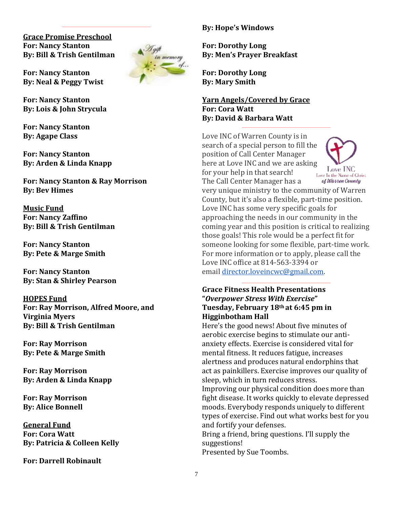**Grace Promise Preschool For: Nancy Stanton By: Bill & Trish Gentilman**

**For: Nancy Stanton By: Neal & Peggy Twist**

**For: Nancy Stanton By: Lois & John Strycula**

**For: Nancy Stanton By: Agape Class**

**For: Nancy Stanton By: Arden & Linda Knapp**

**For: Nancy Stanton & Ray Morrison By: Bev Himes**

**Music Fund For: Nancy Zaffino By: Bill & Trish Gentilman**

**For: Nancy Stanton By: Pete & Marge Smith**

**For: Nancy Stanton By: Stan & Shirley Pearson**

## **HOPES Fund**

**For: Ray Morrison, Alfred Moore, and Virginia Myers By: Bill & Trish Gentilman**

**For: Ray Morrison By: Pete & Marge Smith**

**For: Ray Morrison By: Arden & Linda Knapp**

**For: Ray Morrison By: Alice Bonnell**

**General Fund For: Cora Watt By: Patricia & Colleen Kelly**

**For: Darrell Robinault**



**For: Dorothy Long By: Men's Prayer Breakfast**

**For: Dorothy Long By: Mary Smith**

in memory

 $=$  of ...

#### **Yarn Angels/Covered by Grace For: Cora Watt By: David & Barbara Watt**

Love INC of Warren County is in search of a special person to fill the position of Call Center Manager here at Love INC and we are asking for your help in that search! The Call Center Manager has a



very unique ministry to the community of Warren County, but it's also a flexible, part-time position. Love INC has some very specific goals for approaching the needs in our community in the coming year and this position is critical to realizing those goals! This role would be a perfect fit for someone looking for some flexible, part-time work. For more information or to apply, please call the Love INC office at 814-563-3394 or email [director.loveincwc@gmail.com.](mailto:director.loveincwc@gmail.com)

#### **Grace Fitness Health Presentations "***Overpower Stress With Exercise***" Tuesday, February 18th at 6:45 pm in Higginbotham Hall**

Here's the good news! About five minutes of aerobic exercise begins to stimulate our antianxiety effects. Exercise is considered vital for mental fitness. It reduces fatigue, increases alertness and produces natural endorphins that act as painkillers. Exercise improves our quality of sleep, which in turn reduces stress.

Improving our physical condition does more than fight disease. It works quickly to elevate depressed moods. Everybody responds uniquely to different types of exercise. Find out what works best for you and fortify your defenses.

Bring a friend, bring questions. I'll supply the suggestions!

Presented by Sue Toombs.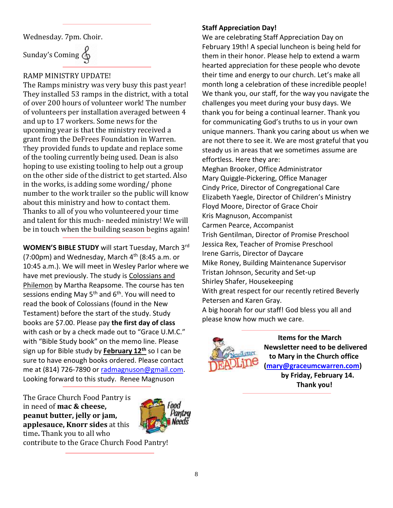Wednesday. 7pm. Choir.

Sunday's Coming  $\oint$ 

#### RAMP MINISTRY UPDATE!

The Ramps ministry was very busy this past year! They installed 53 ramps in the district, with a total of over 200 hours of volunteer work! The number of volunteers per installation averaged between 4 and up to 17 workers. Some news for the upcoming year is that the ministry received a grant from the DeFrees Foundation in Warren. They provided funds to update and replace some of the tooling currently being used. Dean is also hoping to use existing tooling to help out a group on the other side of the district to get started. Also in the works, is adding some wording/ phone number to the work trailer so the public will know about this ministry and how to contact them. Thanks to all of you who volunteered your time and talent for this much- needed ministry! We will be in touch when the building season begins again!

**WOMEN'S BIBLE STUDY** will start Tuesday, March 3rd (7:00pm) and Wednesday, March  $4<sup>th</sup>$  (8:45 a.m. or 10:45 a.m.). We will meet in Wesley Parlor where we have met previously. The study is Colossians and Philemon by Martha Reapsome. The course has ten sessions ending May  $5<sup>th</sup>$  and  $6<sup>th</sup>$ . You will need to read the book of Colossians (found in the New Testament) before the start of the study. Study books are \$7.00. Please pay **the first day of class** with cash or by a check made out to "Grace U.M.C." with "Bible Study book" on the memo line. Please sign up for Bible study by **February 12th** so I can be sure to have enough books ordered. Please contact me at (814) 726-7890 or [radmagnuson@gmail.com.](mailto:radmagnuson@gmail.com) Looking forward to this study. Renee Magnuson

The Grace Church Food Pantry is in need of **mac & cheese, peanut butter, jelly or jam, applesauce, Knorr sides** at this time**.** Thank you to all who



contribute to the Grace Church Food Pantry!

#### **Staff Appreciation Day!**

We are celebrating Staff Appreciation Day on February 19th! A special luncheon is being held for them in their honor. Please help to extend a warm hearted appreciation for these people who devote their time and energy to our church. Let's make all month long a celebration of these incredible people! We thank you, our staff, for the way you navigate the challenges you meet during your busy days. We thank you for being a continual learner. Thank you for communicating God's truths to us in your own unique manners. Thank you caring about us when we are not there to see it. We are most grateful that you steady us in areas that we sometimes assume are effortless. Here they are: Meghan Brooker, Office Administrator Mary Quiggle-Pickering, Office Manager

Cindy Price, Director of Congregational Care Elizabeth Yaegle, Director of Children's Ministry Floyd Moore, Director of Grace Choir Kris Magnuson, Accompanist Carmen Pearce, Accompanist Trish Gentilman, Director of Promise Preschool Jessica Rex, Teacher of Promise Preschool Irene Garris, Director of Daycare Mike Roney, Building Maintenance Supervisor Tristan Johnson, Security and Set-up Shirley Shafer, Housekeeping With great respect for our recently retired Beverly Petersen and Karen Gray. A big hoorah for our staff! God bless you all and



please know how much we care.

 **Items for the March Newsletter need to be delivered to Mary in the Church office [\(mary@graceumcwarren.com\)](mailto:mary@graceumcwarren.com) by Friday, February 14. Thank you!**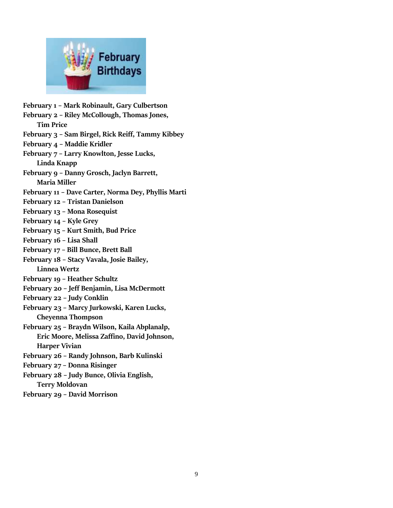

**February 1 – Mark Robinault, Gary Culbertson February 2 – Riley McCollough, Thomas Jones, Tim Price February 3 – Sam Birgel, Rick Reiff, Tammy Kibbey February 4 – Maddie Kridler February 7 – Larry Knowlton, Jesse Lucks, Linda Knapp February 9 – Danny Grosch, Jaclyn Barrett, Maria Miller February 11 – Dave Carter, Norma Dey, Phyllis Marti February 12 – Tristan Danielson February 13 – Mona Rosequist February 14 – Kyle Grey February 15 – Kurt Smith, Bud Price February 16 – Lisa Shall February 17 – Bill Bunce, Brett Ball February 18 – Stacy Vavala, Josie Bailey, Linnea Wertz February 19 – Heather Schultz February 20 – Jeff Benjamin, Lisa McDermott February 22 – Judy Conklin February 23 – Marcy Jurkowski, Karen Lucks, Cheyenna Thompson February 25 – Braydn Wilson, Kaila Abplanalp, Eric Moore, Melissa Zaffino, David Johnson, Harper Vivian February 26 – Randy Johnson, Barb Kulinski February 27 – Donna Risinger February 28 – Judy Bunce, Olivia English, Terry Moldovan February 29 – David Morrison**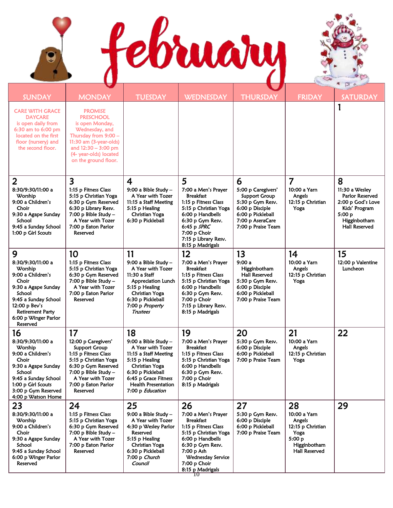j j

9



| <b>SUNDAY</b>                                                                                                                                                                                       | <b>MONDAY</b>                                                                                                                                                                                        | <b>TUESDAY</b>                                                                                                                                                                                        | <b>WEDNESDAY</b>                                                                                                                                                                                                | <b>THURSDAY</b>                                                                                                                           | <b>FRIDAY</b>                                                                                  | <b>SATURDAY</b>                                                                                                           |
|-----------------------------------------------------------------------------------------------------------------------------------------------------------------------------------------------------|------------------------------------------------------------------------------------------------------------------------------------------------------------------------------------------------------|-------------------------------------------------------------------------------------------------------------------------------------------------------------------------------------------------------|-----------------------------------------------------------------------------------------------------------------------------------------------------------------------------------------------------------------|-------------------------------------------------------------------------------------------------------------------------------------------|------------------------------------------------------------------------------------------------|---------------------------------------------------------------------------------------------------------------------------|
| <b>CARE WITH GRACE</b><br><b>DAYCARE</b><br>is open daily from<br>6:30 am to 6:00 pm<br>located on the first<br>floor (nursery) and<br>the second floor.                                            | <b>PROMISE</b><br><b>PRESCHOOL</b><br>is open Monday,<br>Wednesday, and<br>Thursday from 9:00 -<br>11:30 am (3-year-olds)<br>and $12:30 - 3:00$ pm<br>(4- year-olds) located<br>on the ground floor. |                                                                                                                                                                                                       |                                                                                                                                                                                                                 |                                                                                                                                           |                                                                                                |                                                                                                                           |
| $\overline{2}$                                                                                                                                                                                      | 3                                                                                                                                                                                                    | 4                                                                                                                                                                                                     | 5                                                                                                                                                                                                               | 6                                                                                                                                         | $\overline{7}$                                                                                 | 8                                                                                                                         |
| 8:30/9:30/11:00 a<br>Worship<br>9:00 a Children's<br>Choir<br>9:30 a Agape Sunday<br>School<br>9:45 a Sunday School<br>1:00 p Girl Scouts                                                           | 1:15 p Fitness Class<br>5:15 p Christian Yoga<br>6:30 p Gym Reserved<br>6:30 p Library Resv.<br>7:00 p Bible Study -<br>A Year with Tozer<br>7:00 p Eaton Parlor<br>Reserved                         | 9:00 a Bible Study -<br>A Year with Tozer<br>11:15 a Staff Meeting<br>5:15 p Healing<br>Christian Yoga<br>6:30 p Pickleball                                                                           | 7:00 a Men's Prayer<br><b>Breakfast</b><br>1:15 p Fitness Class<br>5:15 p Christian Yoga<br>6:00 p Handbells<br>6:30 p Gym Resv.<br>$6:45$ p $SPRC$<br>7:00 p Choir<br>7:15 p Library Resv.<br>8:15 p Madrigals | 5:00 p Caregivers'<br>Support Group<br>5:30 p Gym Resv.<br>6:00 p Disciple<br>6:00 p Pickleball<br>7:00 p AseraCare<br>7:00 p Praise Team | 10:00 a Yarn<br>Angels<br>12:15 p Christian<br>Yoga                                            | 11:30 a Wesley<br>Parlor Reserved<br>2:00 p God's Love<br>Kids' Program<br>5:00 p<br>Higginbotham<br><b>Hall Reserved</b> |
| 9                                                                                                                                                                                                   | 10                                                                                                                                                                                                   | 11                                                                                                                                                                                                    | 12                                                                                                                                                                                                              | 13                                                                                                                                        | 14                                                                                             | 15                                                                                                                        |
| 8:30/9:30/11:00 a<br>Worship<br>9:00 a Children's<br>Choir<br>9:30 a Agape Sunday<br>School<br>9:45 a Sunday School<br>12:00 p Bev's<br><b>Retirement Party</b><br>6:00 p Winger Parlor<br>Reserved | 1:15 p Fitness Class<br>5:15 p Christian Yoga<br>6:30 p Gym Reserved<br>$7:00$ p Bible Study $-$<br>A Year with Tozer<br>7:00 p Eaton Parlor<br>Reserved                                             | 9:00 a Bible Study -<br>A Year with Tozer<br>11:30 a Staff<br>Appreciation Lunch<br>5:15 p Healing<br>Christian Yoga<br>6:30 p Pickleball<br>7:00 p Property<br><b>Trustees</b>                       | 7:00 a Men's Prayer<br><b>Breakfast</b><br>1:15 p Fitness Class<br>5:15 p Christian Yoga<br>6:00 p Handbells<br>6:30 p Gym Resv.<br>7:00 p Choir<br>7:15 p Library Resv.<br>8:15 p Madrigals                    | 9:00a<br>Higginbotham<br>Hall Reserved<br>5:30 p Gym Resv.<br>6:00 p Disciple<br>6:00 p Pickleball<br>7:00 p Praise Team                  | 10:00 a Yarn<br>Angels<br>12:15 p Christian<br>Yoga                                            | 12:00 p Valentine<br>Luncheon                                                                                             |
| 16                                                                                                                                                                                                  | 17                                                                                                                                                                                                   | 18                                                                                                                                                                                                    | 19                                                                                                                                                                                                              | 20                                                                                                                                        | 21                                                                                             | 22                                                                                                                        |
| 8:30/9:30/11:00 a<br>Worship<br>9:00 a Children's<br>Choir<br>9:30 a Agape Sunday<br>School<br>9:45 a Sunday School<br>1:00 p Girl Scouts<br>3:00 p Gym Reserved<br>4:00 p Watson Home              | 12:00 p Caregivers'<br>Support Group<br>1:15 p Fitness Class<br>5:15 p Christian Yoga<br>6:30 p Gym Reserved<br>7:00 p Bible Study -<br>A Year with Tozer<br>7:00 p Eaton Parlor<br>Reserved         | 9:00 a Bible Study -<br>A Year with Tozer<br>11:15 a Staff Meeting<br>5:15 p Healing<br>Christian Yoga<br>6:30 p Pickleball<br>6:45 p Grace Fitness<br><b>Health Presentation</b><br>7:00 p Education | 7:00 a Men's Prayer<br><b>Breakfast</b><br>1:15 p Fitness Class<br>5:15 p Christian Yoga<br>6:00 p Handbells<br>6:30 p Gym Resv.<br>7:00 p Choir<br>8:15 p Madrigals                                            | 5:30 p Gym Resv.<br>6:00 p Disciple<br>6:00 p Pickleball<br>7:00 p Praise Team                                                            | 10:00 a Yarn<br>Angels<br>12:15 p Christian<br>Yoga                                            |                                                                                                                           |
| 23                                                                                                                                                                                                  | 24                                                                                                                                                                                                   | 25                                                                                                                                                                                                    | 26                                                                                                                                                                                                              | 27                                                                                                                                        | 28                                                                                             | 29                                                                                                                        |
| 8:30/9:30/11:00 a<br>Worship<br>9:00 a Children's<br>Choir<br>9:30 a Agape Sunday<br>School<br>9:45 a Sunday School<br>6:00 p Winger Parlor<br>Reserved                                             | 1:15 p Fitness Class<br>5:15 p Christian Yoga<br>6:30 p Gym Reserved<br>$7:00$ p Bible Study -<br>A Year with Tozer<br>7:00 p Eaton Parlor<br>Reserved                                               | 9:00 a Bible Study -<br>A Year with Tozer<br>4:30 p Wesley Parlor<br>Reserved<br>5:15 p Healing<br>Christian Yoga<br>6:30 p Pickleball<br>7:00 p Church<br>Council                                    | 7:00 a Men's Prayer<br><b>Breakfast</b><br>1:15 p Fitness Class<br>5:15 p Christian Yoga<br>6:00 p Handbells<br>6:30 p Gym Resv.<br>7:00 p Ash<br>Wednesday Service<br>7:00 p Choir<br>8:15 p Madrigals<br>10.  | 5:30 p Gym Resv.<br>6:00 p Disciple<br>6:00 p Pickleball<br>7:00 p Praise Team                                                            | 10:00 a Yarn<br>Angels<br>12:15 p Christian<br>Yoga<br>5:00 p<br>Higginbotham<br>Hall Reserved |                                                                                                                           |